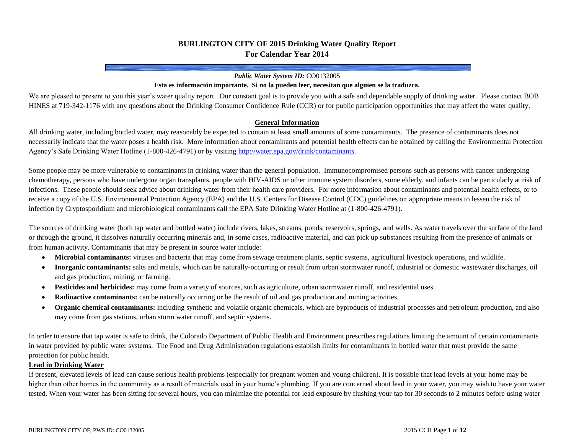# **BURLINGTON CITY OF 2015 Drinking Water Quality Report For Calendar Year 2014**

#### *Public Water System ID:* CO0132005

#### **Esta es información importante. Si no la pueden leer, necesitan que alguien se la traduzca.**

We are pleased to present to you this year's water quality report. Our constant goal is to provide you with a safe and dependable supply of drinking water. Please contact BOB HINES at 719-342-1176 with any questions about the Drinking Consumer Confidence Rule (CCR) or for public participation opportunities that may affect the water quality.

#### **General Information**

All drinking water, including bottled water, may reasonably be expected to contain at least small amounts of some contaminants. The presence of contaminants does not necessarily indicate that the water poses a health risk. More information about contaminants and potential health effects can be obtained by calling the Environmental Protection Agency's Safe Drinking Water Hotline (1-800-426-4791) or by visitin[g http://water.epa.gov/drink/contaminants.](http://water.epa.gov/drink/contaminants)

Some people may be more vulnerable to contaminants in drinking water than the general population. Immunocompromised persons such as persons with cancer undergoing chemotherapy, persons who have undergone organ transplants, people with HIV-AIDS or other immune system disorders, some elderly, and infants can be particularly at risk of infections. These people should seek advice about drinking water from their health care providers. For more information about contaminants and potential health effects, or to receive a copy of the U.S. Environmental Protection Agency (EPA) and the U.S. Centers for Disease Control (CDC) guidelines on appropriate means to lessen the risk of infection by Cryptosporidium and microbiological contaminants call the EPA Safe Drinking Water Hotline at (1-800-426-4791).

The sources of drinking water (both tap water and bottled water) include rivers, lakes, streams, ponds, reservoirs, springs, and wells. As water travels over the surface of the land or through the ground, it dissolves naturally occurring minerals and, in some cases, radioactive material, and can pick up substances resulting from the presence of animals or from human activity. Contaminants that may be present in source water include:

- **Microbial contaminants:** viruses and bacteria that may come from sewage treatment plants, septic systems, agricultural livestock operations, and wildlife.
- **Inorganic contaminants:** salts and metals, which can be naturally-occurring or result from urban stormwater runoff, industrial or domestic wastewater discharges, oil and gas production, mining, or farming.
- **Pesticides and herbicides:** may come from a variety of sources, such as agriculture, urban stormwater runoff, and residential uses.
- **Radioactive contaminants:** can be naturally occurring or be the result of oil and gas production and mining activities.
- **Organic chemical contaminants:** including synthetic and volatile organic chemicals, which are byproducts of industrial processes and petroleum production, and also may come from gas stations, urban storm water runoff, and septic systems.

In order to ensure that tap water is safe to drink, the Colorado Department of Public Health and Environment prescribes regulations limiting the amount of certain contaminants in water provided by public water systems. The Food and Drug Administration regulations establish limits for contaminants in bottled water that must provide the same protection for public health.

#### **Lead in Drinking Water**

If present, elevated levels of lead can cause serious health problems (especially for pregnant women and young children). It is possible that lead levels at your home may be higher than other homes in the community as a result of materials used in your home's plumbing. If you are concerned about lead in your water, you may wish to have your water tested. When your water has been sitting for several hours, you can minimize the potential for lead exposure by flushing your tap for 30 seconds to 2 minutes before using water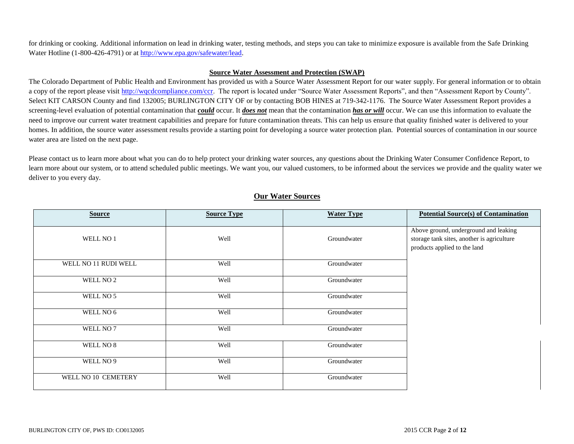for drinking or cooking. Additional information on lead in drinking water, testing methods, and steps you can take to minimize exposure is available from the Safe Drinking Water Hotline (1-800-426-4791) or a[t http://www.epa.gov/safewater/lead.](http://www.epa.gov/safewater/lead)

#### **Source Water Assessment and Protection (SWAP)**

The Colorado Department of Public Health and Environment has provided us with a Source Water Assessment Report for our water supply. For general information or to obtain a copy of the report please visit [http://wqcdcompliance.com/ccr.](http://wqcdcompliance.com/ccr) The report is located under "Source Water Assessment Reports", and then "Assessment Report by County". Select KIT CARSON County and find 132005; BURLINGTON CITY OF or by contacting BOB HINES at 719-342-1176. The Source Water Assessment Report provides a screening-level evaluation of potential contamination that *could* occur. It *does not* mean that the contamination *has or will* occur. We can use this information to evaluate the need to improve our current water treatment capabilities and prepare for future contamination threats. This can help us ensure that quality finished water is delivered to your homes. In addition, the source water assessment results provide a starting point for developing a source water protection plan. Potential sources of contamination in our source water area are listed on the next page.

Please contact us to learn more about what you can do to help protect your drinking water sources, any questions about the Drinking Water Consumer Confidence Report, to learn more about our system, or to attend scheduled public meetings. We want you, our valued customers, to be informed about the services we provide and the quality water we deliver to you every day.

| <b>Source</b>        | <b>Source Type</b> | <b>Water Type</b> | <b>Potential Source(s) of Contamination</b>                                                                         |
|----------------------|--------------------|-------------------|---------------------------------------------------------------------------------------------------------------------|
| WELL NO 1            | Well               | Groundwater       | Above ground, underground and leaking<br>storage tank sites, another is agriculture<br>products applied to the land |
| WELL NO 11 RUDI WELL | Well               | Groundwater       |                                                                                                                     |
| WELL NO 2            | Well               | Groundwater       |                                                                                                                     |
| WELL NO 5            | Well               | Groundwater       |                                                                                                                     |
| WELL NO 6            | Well               | Groundwater       |                                                                                                                     |
| WELL NO 7            | Well               | Groundwater       |                                                                                                                     |
| WELL NO 8            | Well               | Groundwater       |                                                                                                                     |
| WELL NO 9            | Well               | Groundwater       |                                                                                                                     |
| WELL NO 10 CEMETERY  | Well               | Groundwater       |                                                                                                                     |

# **Our Water Sources**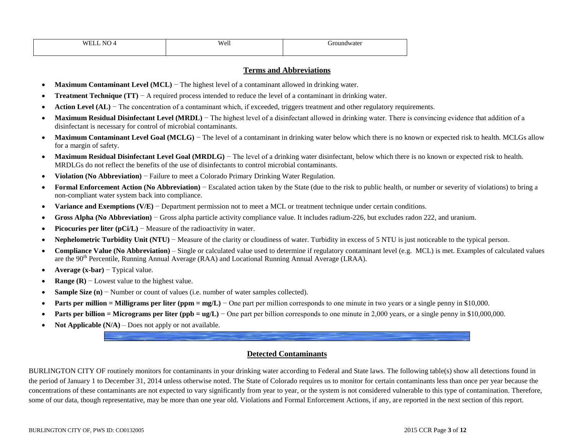| NO.<br><b>WELL</b> | Well | Groundwater<br>.<br>__ |
|--------------------|------|------------------------|
|                    |      |                        |

### **Terms and Abbreviations**

- **Maximum Contaminant Level (MCL)** − The highest level of a contaminant allowed in drinking water.
- **Treatment Technique (TT)** − A required process intended to reduce the level of a contaminant in drinking water.
- **Action Level (AL)** − The concentration of a contaminant which, if exceeded, triggers treatment and other regulatory requirements.
- **Maximum Residual Disinfectant Level (MRDL)** The highest level of a disinfectant allowed in drinking water. There is convincing evidence that addition of a disinfectant is necessary for control of microbial contaminants.
- Maximum Contaminant Level Goal (MCLG) The level of a contaminant in drinking water below which there is no known or expected risk to health. MCLGs allow for a margin of safety.
- **Maximum Residual Disinfectant Level Goal (MRDLG)** The level of a drinking water disinfectant, below which there is no known or expected risk to health. MRDLGs do not reflect the benefits of the use of disinfectants to control microbial contaminants.
- **Violation (No Abbreviation)** − Failure to meet a Colorado Primary Drinking Water Regulation.
- **Formal Enforcement Action (No Abbreviation)** − Escalated action taken by the State (due to the risk to public health, or number or severity of violations) to bring a non-compliant water system back into compliance.
- **Variance and Exemptions (V/E)** − Department permission not to meet a MCL or treatment technique under certain conditions.
- **Gross Alpha (No Abbreviation)** − Gross alpha particle activity compliance value. It includes radium-226, but excludes radon 222, and uranium.
- **Picocuries per liter (pCi/L)** − Measure of the radioactivity in water.
- **Nephelometric Turbidity Unit (NTU)** − Measure of the clarity or cloudiness of water. Turbidity in excess of 5 NTU is just noticeable to the typical person.
- **Compliance Value (No Abbreviation)** Single or calculated value used to determine if regulatory contaminant level (e.g. MCL) is met. Examples of calculated values are the 90<sup>th</sup> Percentile, Running Annual Average (RAA) and Locational Running Annual Average (LRAA).
- **Average (x-bar)** − Typical value.
- **Range (R)** − Lowest value to the highest value.
- **Sample Size (n)** − Number or count of values (i.e. number of water samples collected).
- **Parts per million = Milligrams per liter (ppm = mg/L)** One part per million corresponds to one minute in two years or a single penny in \$10,000.
- **Parts per billion = Micrograms per liter (ppb = ug/L)** One part per billion corresponds to one minute in 2,000 years, or a single penny in \$10,000,000.
- **Not Applicable**  $(N/A)$  Does not apply or not available.

## **Detected Contaminants**

BURLINGTON CITY OF routinely monitors for contaminants in your drinking water according to Federal and State laws. The following table(s) show all detections found in the period of January 1 to December 31, 2014 unless otherwise noted. The State of Colorado requires us to monitor for certain contaminants less than once per year because the concentrations of these contaminants are not expected to vary significantly from year to year, or the system is not considered vulnerable to this type of contamination. Therefore, some of our data, though representative, may be more than one year old. Violations and Formal Enforcement Actions, if any, are reported in the next section of this report.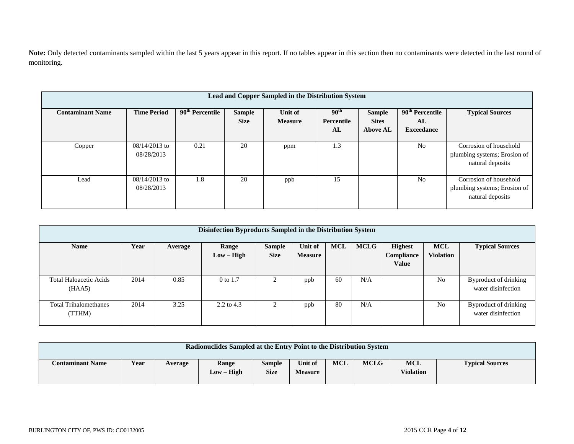Note: Only detected contaminants sampled within the last 5 years appear in this report. If no tables appear in this section then no contaminants were detected in the last round of monitoring.

| Lead and Copper Sampled in the Distribution System |                               |                             |                              |                           |                                      |                                                  |                                              |                                                                            |  |  |  |
|----------------------------------------------------|-------------------------------|-----------------------------|------------------------------|---------------------------|--------------------------------------|--------------------------------------------------|----------------------------------------------|----------------------------------------------------------------------------|--|--|--|
| <b>Contaminant Name</b>                            | <b>Time Period</b>            | 90 <sup>th</sup> Percentile | <b>Sample</b><br><b>Size</b> | Unit of<br><b>Measure</b> | 90 <sup>th</sup><br>Percentile<br>AL | <b>Sample</b><br><b>Sites</b><br><b>Above AL</b> | $90th$ Percentile<br>AL<br><b>Exceedance</b> | <b>Typical Sources</b>                                                     |  |  |  |
| Copper                                             | $08/14/2013$ to<br>08/28/2013 | 0.21                        | 20                           | ppm                       | 1.3                                  |                                                  | N <sub>0</sub>                               | Corrosion of household<br>plumbing systems; Erosion of<br>natural deposits |  |  |  |
| Lead                                               | $08/14/2013$ to<br>08/28/2013 | 1.8                         | 20                           | ppb                       | 15                                   |                                                  | N <sub>0</sub>                               | Corrosion of household<br>plumbing systems; Erosion of<br>natural deposits |  |  |  |

| Disinfection Byproducts Sampled in the Distribution System |      |         |                       |                              |                           |            |             |                                              |                                |                                             |  |  |
|------------------------------------------------------------|------|---------|-----------------------|------------------------------|---------------------------|------------|-------------|----------------------------------------------|--------------------------------|---------------------------------------------|--|--|
| <b>Name</b>                                                | Year | Average | Range<br>$Low - High$ | <b>Sample</b><br><b>Size</b> | Unit of<br><b>Measure</b> | <b>MCL</b> | <b>MCLG</b> | <b>Highest</b><br>Compliance<br><b>Value</b> | <b>MCL</b><br><b>Violation</b> | <b>Typical Sources</b>                      |  |  |
| <b>Total Haloacetic Acids</b><br>(HAA5)                    | 2014 | 0.85    | $0$ to 1.7            | ◠                            | ppb                       | 60         | N/A         |                                              | No                             | Byproduct of drinking<br>water disinfection |  |  |
| <b>Total Trihalomethanes</b><br>(TTHM)                     | 2014 | 3.25    | $2.2$ to 4.3          | ◠                            | ppb                       | 80         | N/A         |                                              | No                             | Byproduct of drinking<br>water disinfection |  |  |

| <b>Radionuclides Sampled at the Entry Point to the Distribution System</b> |      |         |                       |                       |                           |            |             |                                |                        |  |
|----------------------------------------------------------------------------|------|---------|-----------------------|-----------------------|---------------------------|------------|-------------|--------------------------------|------------------------|--|
| <b>Contaminant Name</b>                                                    | Year | Average | Range<br>$Low - High$ | Sample<br><b>Size</b> | Unit of<br><b>Measure</b> | <b>MCL</b> | <b>MCLG</b> | <b>MCL</b><br><b>Violation</b> | <b>Typical Sources</b> |  |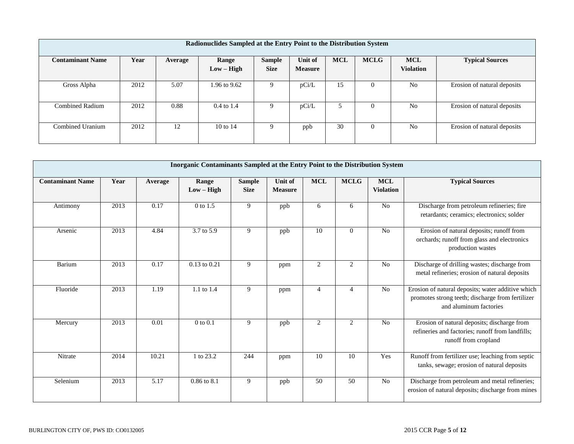| Radionuclides Sampled at the Entry Point to the Distribution System                                                                                                                                                       |      |      |                       |  |       |    |          |                |                             |  |  |  |
|---------------------------------------------------------------------------------------------------------------------------------------------------------------------------------------------------------------------------|------|------|-----------------------|--|-------|----|----------|----------------|-----------------------------|--|--|--|
| <b>MCLG</b><br><b>MCL</b><br><b>MCL</b><br>Year<br><b>Sample</b><br>Unit of<br><b>Typical Sources</b><br><b>Contaminant Name</b><br>Range<br>Average<br><b>Violation</b><br>$Low - High$<br><b>Size</b><br><b>Measure</b> |      |      |                       |  |       |    |          |                |                             |  |  |  |
|                                                                                                                                                                                                                           |      |      |                       |  |       |    |          |                |                             |  |  |  |
| Gross Alpha                                                                                                                                                                                                               | 2012 | 5.07 | 1.96 to 9.62          |  | pCi/L | 15 | $\theta$ | N <sub>0</sub> | Erosion of natural deposits |  |  |  |
| <b>Combined Radium</b>                                                                                                                                                                                                    | 2012 | 0.88 | $0.4 \text{ to } 1.4$ |  | pCi/L |    | $\theta$ | N <sub>0</sub> | Erosion of natural deposits |  |  |  |
| Combined Uranium                                                                                                                                                                                                          | 2012 | 12   | 10 to 14              |  | ppb   | 30 | $\theta$ | N <sub>0</sub> | Erosion of natural deposits |  |  |  |

|                         |      |         | <b>Inorganic Contaminants Sampled at the Entry Point to the Distribution System</b> |                              |                                  |                |                |                                |                                                                                                                                 |
|-------------------------|------|---------|-------------------------------------------------------------------------------------|------------------------------|----------------------------------|----------------|----------------|--------------------------------|---------------------------------------------------------------------------------------------------------------------------------|
| <b>Contaminant Name</b> | Year | Average | Range<br>$Low - High$                                                               | <b>Sample</b><br><b>Size</b> | <b>Unit of</b><br><b>Measure</b> | <b>MCL</b>     | <b>MCLG</b>    | <b>MCL</b><br><b>Violation</b> | <b>Typical Sources</b>                                                                                                          |
| Antimony                | 2013 | 0.17    | $0$ to 1.5                                                                          | 9                            | ppb                              | 6              | 6              | N <sub>0</sub>                 | Discharge from petroleum refineries; fire<br>retardants; ceramics; electronics; solder                                          |
| Arsenic                 | 2013 | 4.84    | 3.7 to 5.9                                                                          | 9                            | ppb                              | 10             | $\Omega$       | N <sub>0</sub>                 | Erosion of natural deposits; runoff from<br>orchards; runoff from glass and electronics<br>production wastes                    |
| Barium                  | 2013 | 0.17    | $0.13$ to $0.21$                                                                    | 9                            | ppm                              | $\mathfrak{2}$ | $\overline{2}$ | No                             | Discharge of drilling wastes; discharge from<br>metal refineries; erosion of natural deposits                                   |
| Fluoride                | 2013 | 1.19    | $1.1$ to $1.4$                                                                      | 9                            | ppm                              | $\overline{4}$ | 4              | N <sub>0</sub>                 | Erosion of natural deposits; water additive which<br>promotes strong teeth; discharge from fertilizer<br>and aluminum factories |
| Mercury                 | 2013 | 0.01    | $0$ to $0.1$                                                                        | 9                            | ppb                              | $\overline{2}$ | $\overline{2}$ | N <sub>0</sub>                 | Erosion of natural deposits; discharge from<br>refineries and factories; runoff from landfills;<br>runoff from cropland         |
| Nitrate                 | 2014 | 10.21   | 1 to 23.2                                                                           | 244                          | ppm                              | 10             | 10             | Yes                            | Runoff from fertilizer use; leaching from septic<br>tanks, sewage; erosion of natural deposits                                  |
| Selenium                | 2013 | 5.17    | 0.86 to 8.1                                                                         | 9                            | ppb                              | 50             | 50             | N <sub>0</sub>                 | Discharge from petroleum and metal refineries;<br>erosion of natural deposits; discharge from mines                             |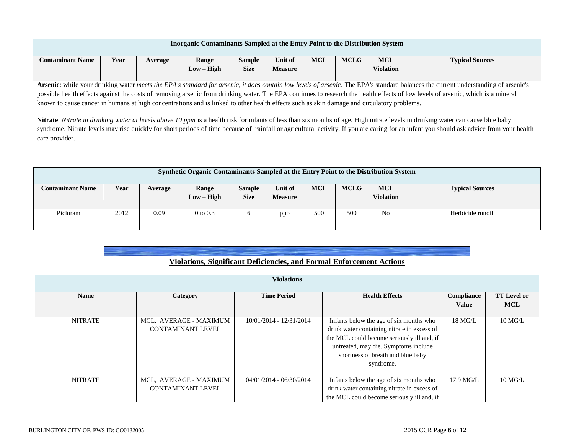| Inorganic Contaminants Sampled at the Entry Point to the Distribution System                                                                                                             |                                                                                                                                                                                            |         |              |               |                |            |             |                  |                                                                                                                                                                                  |  |  |
|------------------------------------------------------------------------------------------------------------------------------------------------------------------------------------------|--------------------------------------------------------------------------------------------------------------------------------------------------------------------------------------------|---------|--------------|---------------|----------------|------------|-------------|------------------|----------------------------------------------------------------------------------------------------------------------------------------------------------------------------------|--|--|
| <b>Contaminant Name</b>                                                                                                                                                                  | Year                                                                                                                                                                                       | Average | Range        | <b>Sample</b> | Unit of        | <b>MCL</b> | <b>MCLG</b> | <b>MCL</b>       | <b>Typical Sources</b>                                                                                                                                                           |  |  |
|                                                                                                                                                                                          |                                                                                                                                                                                            |         | $Low - High$ | <b>Size</b>   | <b>Measure</b> |            |             | <b>Violation</b> |                                                                                                                                                                                  |  |  |
|                                                                                                                                                                                          |                                                                                                                                                                                            |         |              |               |                |            |             |                  |                                                                                                                                                                                  |  |  |
|                                                                                                                                                                                          | Arsenic: while your drinking water <i>meets the EPA's standard for arsenic, it does contain low levels of arsenic</i> . The EPA's standard balances the current understanding of arsenic's |         |              |               |                |            |             |                  |                                                                                                                                                                                  |  |  |
|                                                                                                                                                                                          |                                                                                                                                                                                            |         |              |               |                |            |             |                  | possible health effects against the costs of removing arsenic from drinking water. The EPA continues to research the health effects of low levels of arsenic, which is a mineral |  |  |
| known to cause cancer in humans at high concentrations and is linked to other health effects such as skin damage and circulatory problems.                                               |                                                                                                                                                                                            |         |              |               |                |            |             |                  |                                                                                                                                                                                  |  |  |
|                                                                                                                                                                                          |                                                                                                                                                                                            |         |              |               |                |            |             |                  |                                                                                                                                                                                  |  |  |
|                                                                                                                                                                                          | Nitrate: Nitrate in drinking water at levels above 10 ppm is a health risk for infants of less than six months of age. High nitrate levels in drinking water can cause blue baby           |         |              |               |                |            |             |                  |                                                                                                                                                                                  |  |  |
| syndrome. Nitrate levels may rise quickly for short periods of time because of rainfall or agricultural activity. If you are caring for an infant you should ask advice from your health |                                                                                                                                                                                            |         |              |               |                |            |             |                  |                                                                                                                                                                                  |  |  |
| care provider.                                                                                                                                                                           |                                                                                                                                                                                            |         |              |               |                |            |             |                  |                                                                                                                                                                                  |  |  |
|                                                                                                                                                                                          |                                                                                                                                                                                            |         |              |               |                |            |             |                  |                                                                                                                                                                                  |  |  |

| Synthetic Organic Contaminants Sampled at the Entry Point to the Distribution System                                                                                                                        |      |      |              |  |     |     |     |    |                  |  |
|-------------------------------------------------------------------------------------------------------------------------------------------------------------------------------------------------------------|------|------|--------------|--|-----|-----|-----|----|------------------|--|
| <b>MCL</b><br><b>MCL</b><br><b>MCLG</b><br>Year<br>Unit of<br><b>Typical Sources</b><br><b>Contaminant Name</b><br>Range<br>Sample<br>Average<br><b>Size</b><br>Violation<br>$Low - High$<br><b>Measure</b> |      |      |              |  |     |     |     |    |                  |  |
| Picloram                                                                                                                                                                                                    | 2012 | 0.09 | $0$ to $0.3$ |  | ppb | 500 | 500 | No | Herbicide runoff |  |

|  |  | Violations, Significant Deficiencies, and Formal Enforcement Actions |  |
|--|--|----------------------------------------------------------------------|--|
|  |  |                                                                      |  |

|                |                                                    | <b>Violations</b>         |                                                                                                                                                                                                                                |                            |                                  |
|----------------|----------------------------------------------------|---------------------------|--------------------------------------------------------------------------------------------------------------------------------------------------------------------------------------------------------------------------------|----------------------------|----------------------------------|
| <b>Name</b>    | Category                                           | <b>Time Period</b>        | <b>Health Effects</b>                                                                                                                                                                                                          | Compliance<br><b>Value</b> | <b>TT</b> Level or<br><b>MCL</b> |
| <b>NITRATE</b> | MCL, AVERAGE - MAXIMUM<br><b>CONTAMINANT LEVEL</b> | 10/01/2014 - 12/31/2014   | Infants below the age of six months who<br>drink water containing nitrate in excess of<br>the MCL could become seriously ill and, if<br>untreated, may die. Symptoms include<br>shortness of breath and blue baby<br>syndrome. | 18 MG/L                    | $10$ MG/L                        |
| <b>NITRATE</b> | MCL, AVERAGE - MAXIMUM<br><b>CONTAMINANT LEVEL</b> | $04/01/2014 - 06/30/2014$ | Infants below the age of six months who<br>drink water containing nitrate in excess of<br>the MCL could become seriously ill and, if                                                                                           | 17.9 MG/L                  | $10$ MG/L                        |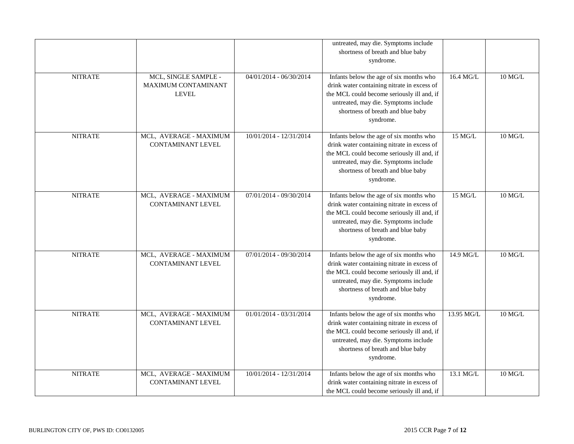| <b>NITRATE</b> | MCL, SINGLE SAMPLE -                               | $04/01/2014 - 06/30/2014$ | untreated, may die. Symptoms include<br>shortness of breath and blue baby<br>syndrome.<br>Infants below the age of six months who                                                                                              | 16.4 MG/L  | $10$ MG/L      |
|----------------|----------------------------------------------------|---------------------------|--------------------------------------------------------------------------------------------------------------------------------------------------------------------------------------------------------------------------------|------------|----------------|
|                | MAXIMUM CONTAMINANT<br><b>LEVEL</b>                |                           | drink water containing nitrate in excess of<br>the MCL could become seriously ill and, if<br>untreated, may die. Symptoms include<br>shortness of breath and blue baby<br>syndrome.                                            |            |                |
| <b>NITRATE</b> | MCL, AVERAGE - MAXIMUM<br><b>CONTAMINANT LEVEL</b> | 10/01/2014 - 12/31/2014   | Infants below the age of six months who<br>drink water containing nitrate in excess of<br>the MCL could become seriously ill and, if<br>untreated, may die. Symptoms include<br>shortness of breath and blue baby<br>syndrome. | 15 MG/L    | 10 MG/L        |
| <b>NITRATE</b> | MCL, AVERAGE - MAXIMUM<br><b>CONTAMINANT LEVEL</b> | 07/01/2014 - 09/30/2014   | Infants below the age of six months who<br>drink water containing nitrate in excess of<br>the MCL could become seriously ill and, if<br>untreated, may die. Symptoms include<br>shortness of breath and blue baby<br>syndrome. | $15$ MG/L  | $10$ MG/L $\,$ |
| <b>NITRATE</b> | MCL, AVERAGE - MAXIMUM<br><b>CONTAMINANT LEVEL</b> | 07/01/2014 - 09/30/2014   | Infants below the age of six months who<br>drink water containing nitrate in excess of<br>the MCL could become seriously ill and, if<br>untreated, may die. Symptoms include<br>shortness of breath and blue baby<br>syndrome. | 14.9 MG/L  | $10$ MG/L $\,$ |
| <b>NITRATE</b> | MCL, AVERAGE - MAXIMUM<br><b>CONTAMINANT LEVEL</b> | $01/01/2014 - 03/31/2014$ | Infants below the age of six months who<br>drink water containing nitrate in excess of<br>the MCL could become seriously ill and, if<br>untreated, may die. Symptoms include<br>shortness of breath and blue baby<br>syndrome. | 13.95 MG/L | $10$ MG/L      |
| <b>NITRATE</b> | MCL, AVERAGE - MAXIMUM<br>CONTAMINANT LEVEL        | 10/01/2014 - 12/31/2014   | Infants below the age of six months who<br>drink water containing nitrate in excess of<br>the MCL could become seriously ill and, if                                                                                           | 13.1 MG/L  | 10 MG/L        |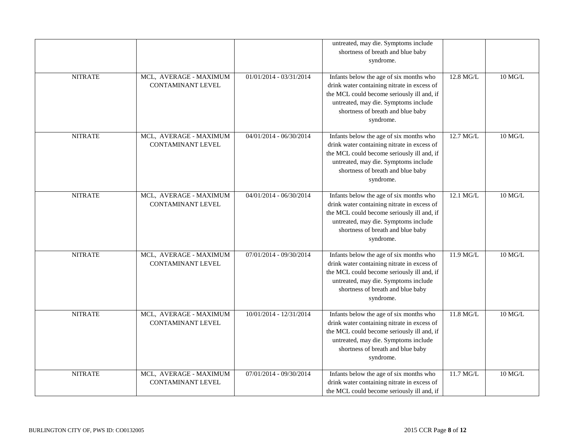| <b>NITRATE</b> | MCL, AVERAGE - MAXIMUM<br>CONTAMINANT LEVEL        | 01/01/2014 - 03/31/2014   | untreated, may die. Symptoms include<br>shortness of breath and blue baby<br>syndrome.<br>Infants below the age of six months who<br>drink water containing nitrate in excess of<br>the MCL could become seriously ill and, if<br>untreated, may die. Symptoms include | 12.8 MG/L | 10 MG/L        |
|----------------|----------------------------------------------------|---------------------------|------------------------------------------------------------------------------------------------------------------------------------------------------------------------------------------------------------------------------------------------------------------------|-----------|----------------|
|                |                                                    |                           | shortness of breath and blue baby<br>syndrome.                                                                                                                                                                                                                         |           |                |
| <b>NITRATE</b> | MCL, AVERAGE - MAXIMUM<br><b>CONTAMINANT LEVEL</b> | 04/01/2014 - 06/30/2014   | Infants below the age of six months who<br>drink water containing nitrate in excess of<br>the MCL could become seriously ill and, if<br>untreated, may die. Symptoms include<br>shortness of breath and blue baby<br>syndrome.                                         | 12.7 MG/L | $10$ MG/L $\,$ |
| <b>NITRATE</b> | MCL, AVERAGE - MAXIMUM<br><b>CONTAMINANT LEVEL</b> | $04/01/2014 - 06/30/2014$ | Infants below the age of six months who<br>drink water containing nitrate in excess of<br>the MCL could become seriously ill and, if<br>untreated, may die. Symptoms include<br>shortness of breath and blue baby<br>syndrome.                                         | 12.1 MG/L | $10$ MG/L $\,$ |
| <b>NITRATE</b> | MCL, AVERAGE - MAXIMUM<br><b>CONTAMINANT LEVEL</b> | 07/01/2014 - 09/30/2014   | Infants below the age of six months who<br>drink water containing nitrate in excess of<br>the MCL could become seriously ill and, if<br>untreated, may die. Symptoms include<br>shortness of breath and blue baby<br>syndrome.                                         | 11.9 MG/L | $10$ MG/L $\,$ |
| <b>NITRATE</b> | MCL, AVERAGE - MAXIMUM<br><b>CONTAMINANT LEVEL</b> | 10/01/2014 - 12/31/2014   | Infants below the age of six months who<br>drink water containing nitrate in excess of<br>the MCL could become seriously ill and, if<br>untreated, may die. Symptoms include<br>shortness of breath and blue baby<br>syndrome.                                         | 11.8 MG/L | $10$ MG/L      |
| <b>NITRATE</b> | MCL, AVERAGE - MAXIMUM<br>CONTAMINANT LEVEL        | 07/01/2014 - 09/30/2014   | Infants below the age of six months who<br>drink water containing nitrate in excess of<br>the MCL could become seriously ill and, if                                                                                                                                   | 11.7 MG/L | 10 MG/L        |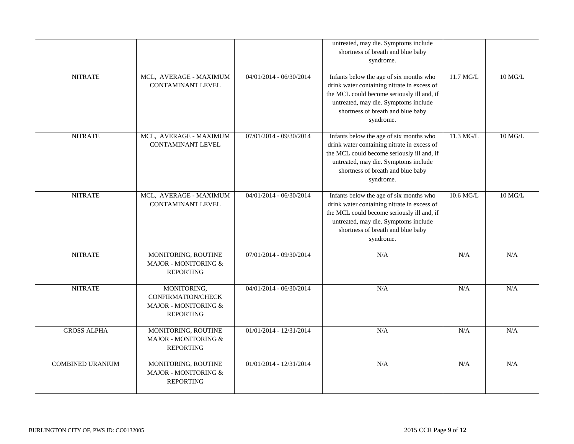|                         |                                                                                      |                           | untreated, may die. Symptoms include<br>shortness of breath and blue baby<br>syndrome.                                                                                                                                         |           |           |
|-------------------------|--------------------------------------------------------------------------------------|---------------------------|--------------------------------------------------------------------------------------------------------------------------------------------------------------------------------------------------------------------------------|-----------|-----------|
| <b>NITRATE</b>          | MCL, AVERAGE - MAXIMUM<br><b>CONTAMINANT LEVEL</b>                                   | 04/01/2014 - 06/30/2014   | Infants below the age of six months who<br>drink water containing nitrate in excess of<br>the MCL could become seriously ill and, if<br>untreated, may die. Symptoms include<br>shortness of breath and blue baby<br>syndrome. | 11.7 MG/L | 10 MG/L   |
| <b>NITRATE</b>          | MCL, AVERAGE - MAXIMUM<br><b>CONTAMINANT LEVEL</b>                                   | 07/01/2014 - 09/30/2014   | Infants below the age of six months who<br>drink water containing nitrate in excess of<br>the MCL could become seriously ill and, if<br>untreated, may die. Symptoms include<br>shortness of breath and blue baby<br>syndrome. | 11.3 MG/L | $10$ MG/L |
| <b>NITRATE</b>          | MCL, AVERAGE - MAXIMUM<br><b>CONTAMINANT LEVEL</b>                                   | $04/01/2014 - 06/30/2014$ | Infants below the age of six months who<br>drink water containing nitrate in excess of<br>the MCL could become seriously ill and, if<br>untreated, may die. Symptoms include<br>shortness of breath and blue baby<br>syndrome. | 10.6 MG/L | $10$ MG/L |
| <b>NITRATE</b>          | MONITORING, ROUTINE<br>MAJOR - MONITORING &<br><b>REPORTING</b>                      | 07/01/2014 - 09/30/2014   | N/A                                                                                                                                                                                                                            | N/A       | N/A       |
| <b>NITRATE</b>          | MONITORING,<br><b>CONFIRMATION/CHECK</b><br>MAJOR - MONITORING &<br><b>REPORTING</b> | 04/01/2014 - 06/30/2014   | N/A                                                                                                                                                                                                                            | N/A       | N/A       |
| <b>GROSS ALPHA</b>      | MONITORING, ROUTINE<br>MAJOR - MONITORING &<br><b>REPORTING</b>                      | 01/01/2014 - 12/31/2014   | N/A                                                                                                                                                                                                                            | N/A       | N/A       |
| <b>COMBINED URANIUM</b> | MONITORING, ROUTINE<br>MAJOR - MONITORING &<br><b>REPORTING</b>                      | $01/01/2014 - 12/31/2014$ | N/A                                                                                                                                                                                                                            | N/A       | N/A       |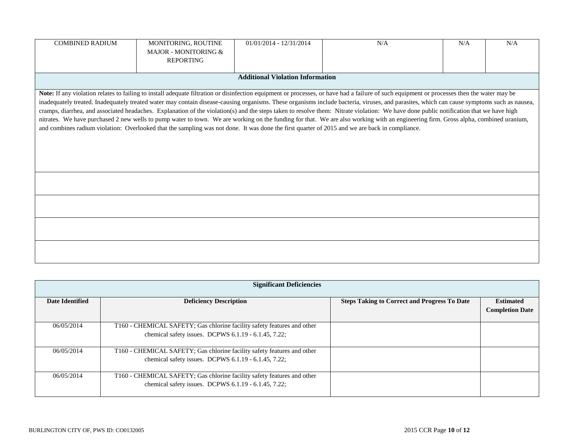| MONITORING, ROUTINE | $01/01/2014 - 12/31/2014$ | N/A | N/A                                                                                                                                                                                       | N/A                                                                                                                                                                                                                                                                                                                                                                                                                                                                                                                                                                                                                                                                                                                                                                        |  |
|---------------------|---------------------------|-----|-------------------------------------------------------------------------------------------------------------------------------------------------------------------------------------------|----------------------------------------------------------------------------------------------------------------------------------------------------------------------------------------------------------------------------------------------------------------------------------------------------------------------------------------------------------------------------------------------------------------------------------------------------------------------------------------------------------------------------------------------------------------------------------------------------------------------------------------------------------------------------------------------------------------------------------------------------------------------------|--|
| <b>REPORTING</b>    |                           |     |                                                                                                                                                                                           |                                                                                                                                                                                                                                                                                                                                                                                                                                                                                                                                                                                                                                                                                                                                                                            |  |
|                     |                           |     |                                                                                                                                                                                           |                                                                                                                                                                                                                                                                                                                                                                                                                                                                                                                                                                                                                                                                                                                                                                            |  |
|                     |                           |     |                                                                                                                                                                                           |                                                                                                                                                                                                                                                                                                                                                                                                                                                                                                                                                                                                                                                                                                                                                                            |  |
|                     |                           |     |                                                                                                                                                                                           |                                                                                                                                                                                                                                                                                                                                                                                                                                                                                                                                                                                                                                                                                                                                                                            |  |
|                     |                           |     |                                                                                                                                                                                           |                                                                                                                                                                                                                                                                                                                                                                                                                                                                                                                                                                                                                                                                                                                                                                            |  |
|                     |                           |     |                                                                                                                                                                                           |                                                                                                                                                                                                                                                                                                                                                                                                                                                                                                                                                                                                                                                                                                                                                                            |  |
|                     |                           |     |                                                                                                                                                                                           |                                                                                                                                                                                                                                                                                                                                                                                                                                                                                                                                                                                                                                                                                                                                                                            |  |
|                     |                           |     |                                                                                                                                                                                           |                                                                                                                                                                                                                                                                                                                                                                                                                                                                                                                                                                                                                                                                                                                                                                            |  |
|                     |                           |     |                                                                                                                                                                                           |                                                                                                                                                                                                                                                                                                                                                                                                                                                                                                                                                                                                                                                                                                                                                                            |  |
|                     |                           |     |                                                                                                                                                                                           |                                                                                                                                                                                                                                                                                                                                                                                                                                                                                                                                                                                                                                                                                                                                                                            |  |
|                     |                           |     |                                                                                                                                                                                           |                                                                                                                                                                                                                                                                                                                                                                                                                                                                                                                                                                                                                                                                                                                                                                            |  |
|                     |                           |     |                                                                                                                                                                                           |                                                                                                                                                                                                                                                                                                                                                                                                                                                                                                                                                                                                                                                                                                                                                                            |  |
|                     |                           |     |                                                                                                                                                                                           |                                                                                                                                                                                                                                                                                                                                                                                                                                                                                                                                                                                                                                                                                                                                                                            |  |
|                     |                           |     |                                                                                                                                                                                           |                                                                                                                                                                                                                                                                                                                                                                                                                                                                                                                                                                                                                                                                                                                                                                            |  |
|                     |                           |     |                                                                                                                                                                                           |                                                                                                                                                                                                                                                                                                                                                                                                                                                                                                                                                                                                                                                                                                                                                                            |  |
|                     |                           |     |                                                                                                                                                                                           |                                                                                                                                                                                                                                                                                                                                                                                                                                                                                                                                                                                                                                                                                                                                                                            |  |
|                     |                           |     |                                                                                                                                                                                           |                                                                                                                                                                                                                                                                                                                                                                                                                                                                                                                                                                                                                                                                                                                                                                            |  |
|                     |                           |     |                                                                                                                                                                                           |                                                                                                                                                                                                                                                                                                                                                                                                                                                                                                                                                                                                                                                                                                                                                                            |  |
|                     |                           |     |                                                                                                                                                                                           |                                                                                                                                                                                                                                                                                                                                                                                                                                                                                                                                                                                                                                                                                                                                                                            |  |
|                     | MAJOR - MONITORING &      |     | <b>Additional Violation Information</b><br>and combines radium violation: Overlooked that the sampling was not done. It was done the first quarter of 2015 and we are back in compliance. | Note: If any violation relates to failing to install adequate filtration or disinfection equipment or processes, or have had a failure of such equipment or processes then the water may be<br>inadequately treated. Inadequately treated water may contain disease-causing organisms. These organisms include bacteria, viruses, and parasites, which can cause symptoms such as nausea,<br>cramps, diarrhea, and associated headaches. Explanation of the violation(s) and the steps taken to resolve them: Nitrate violation: We have done public notification that we have high<br>nitrates. We have purchased 2 new wells to pump water to town. We are working on the funding for that. We are also working with an engineering firm. Gross alpha, combined uranium, |  |

| <b>Significant Deficiencies</b> |                                                                                                                                       |                                                     |                                            |
|---------------------------------|---------------------------------------------------------------------------------------------------------------------------------------|-----------------------------------------------------|--------------------------------------------|
| <b>Date Identified</b>          | <b>Deficiency Description</b>                                                                                                         | <b>Steps Taking to Correct and Progress To Date</b> | <b>Estimated</b><br><b>Completion Date</b> |
| 06/05/2014                      | T160 - CHEMICAL SAFETY; Gas chlorine facility safety features and other<br>chemical safety issues. DCPWS 6.1.19 - 6.1.45, 7.22;       |                                                     |                                            |
| 06/05/2014                      | T160 - CHEMICAL SAFETY; Gas chlorine facility safety features and other<br>chemical safety issues. DCPWS $6.1.19 - 6.1.45$ , $7.22$ ; |                                                     |                                            |
| 06/05/2014                      | T160 - CHEMICAL SAFETY; Gas chlorine facility safety features and other<br>chemical safety issues. DCPWS 6.1.19 - 6.1.45, 7.22;       |                                                     |                                            |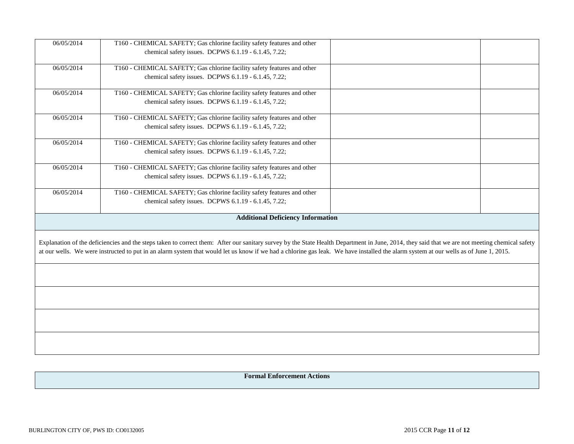| 06/05/2014 | T160 - CHEMICAL SAFETY; Gas chlorine facility safety features and other                                                                                                                        |  |  |  |  |
|------------|------------------------------------------------------------------------------------------------------------------------------------------------------------------------------------------------|--|--|--|--|
|            | chemical safety issues. DCPWS 6.1.19 - 6.1.45, 7.22;                                                                                                                                           |  |  |  |  |
|            |                                                                                                                                                                                                |  |  |  |  |
| 06/05/2014 | T160 - CHEMICAL SAFETY; Gas chlorine facility safety features and other                                                                                                                        |  |  |  |  |
|            | chemical safety issues. DCPWS 6.1.19 - 6.1.45, 7.22;                                                                                                                                           |  |  |  |  |
| 06/05/2014 | T160 - CHEMICAL SAFETY; Gas chlorine facility safety features and other                                                                                                                        |  |  |  |  |
|            | chemical safety issues. DCPWS 6.1.19 - 6.1.45, 7.22;                                                                                                                                           |  |  |  |  |
| 06/05/2014 | T160 - CHEMICAL SAFETY; Gas chlorine facility safety features and other                                                                                                                        |  |  |  |  |
|            | chemical safety issues. DCPWS 6.1.19 - 6.1.45, 7.22;                                                                                                                                           |  |  |  |  |
| 06/05/2014 | T160 - CHEMICAL SAFETY; Gas chlorine facility safety features and other                                                                                                                        |  |  |  |  |
|            | chemical safety issues. DCPWS 6.1.19 - 6.1.45, 7.22;                                                                                                                                           |  |  |  |  |
| 06/05/2014 | T160 - CHEMICAL SAFETY; Gas chlorine facility safety features and other                                                                                                                        |  |  |  |  |
|            | chemical safety issues. DCPWS 6.1.19 - 6.1.45, 7.22;                                                                                                                                           |  |  |  |  |
| 06/05/2014 | T160 - CHEMICAL SAFETY; Gas chlorine facility safety features and other                                                                                                                        |  |  |  |  |
|            | chemical safety issues. DCPWS 6.1.19 - 6.1.45, 7.22;                                                                                                                                           |  |  |  |  |
|            | <b>Additional Deficiency Information</b>                                                                                                                                                       |  |  |  |  |
|            |                                                                                                                                                                                                |  |  |  |  |
|            | Explanation of the deficiencies and the steps taken to correct them: After our sanitary survey by the State Health Department in June, 2014, they said that we are not meeting chemical safety |  |  |  |  |
|            | at our wells. We were instructed to put in an alarm system that would let us know if we had a chlorine gas leak. We have installed the alarm system at our wells as of June 1, 2015.           |  |  |  |  |
|            |                                                                                                                                                                                                |  |  |  |  |
|            |                                                                                                                                                                                                |  |  |  |  |
|            |                                                                                                                                                                                                |  |  |  |  |
|            |                                                                                                                                                                                                |  |  |  |  |
|            |                                                                                                                                                                                                |  |  |  |  |
|            |                                                                                                                                                                                                |  |  |  |  |
|            |                                                                                                                                                                                                |  |  |  |  |

**Formal Enforcement Actions**